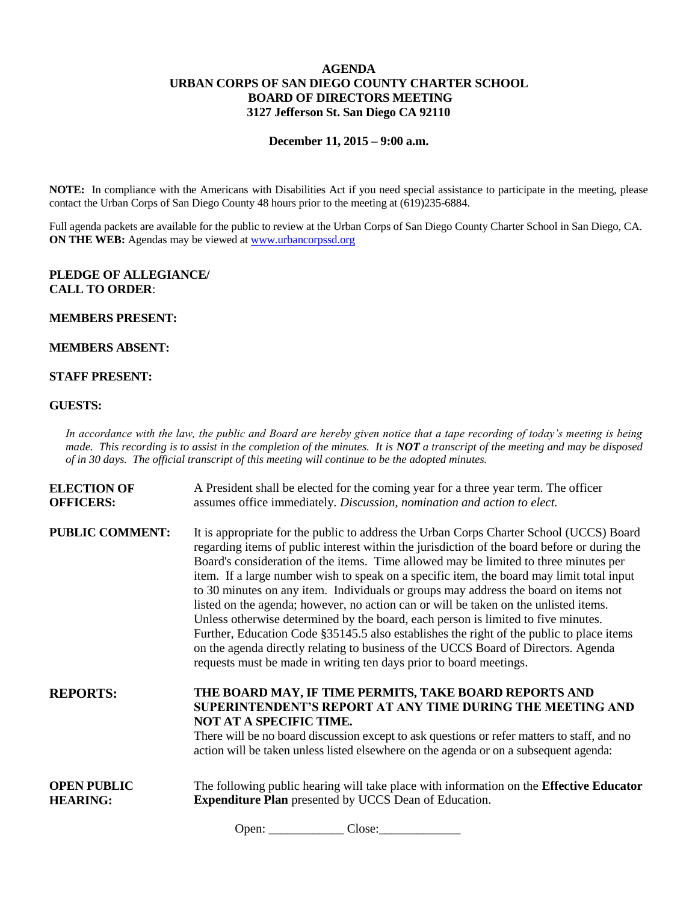# **AGENDA URBAN CORPS OF SAN DIEGO COUNTY CHARTER SCHOOL BOARD OF DIRECTORS MEETING 3127 Jefferson St. San Diego CA 92110**

#### **December 11, 2015 – 9:00 a.m.**

**NOTE:** In compliance with the Americans with Disabilities Act if you need special assistance to participate in the meeting, please contact the Urban Corps of San Diego County 48 hours prior to the meeting at (619)235-6884.

Full agenda packets are available for the public to review at the Urban Corps of San Diego County Charter School in San Diego, CA. **ON THE WEB:** Agendas may be viewed at [www.urbancorpssd.org](http://www.urbancorpssd.org/)

### **PLEDGE OF ALLEGIANCE/ CALL TO ORDER**:

#### **MEMBERS PRESENT:**

# **MEMBERS ABSENT:**

# **STAFF PRESENT:**

#### **GUESTS:**

*In accordance with the law, the public and Board are hereby given notice that a tape recording of today's meeting is being made. This recording is to assist in the completion of the minutes. It is NOT a transcript of the meeting and may be disposed of in 30 days. The official transcript of this meeting will continue to be the adopted minutes.*

| <b>ELECTION OF</b>     | A President shall be elected for the coming year for a three year term. The officer                                                                                                                                                                                                                                                                                                                                                                                                                                                                                                                                                                                                                                                                                                                                                                                                                      |
|------------------------|----------------------------------------------------------------------------------------------------------------------------------------------------------------------------------------------------------------------------------------------------------------------------------------------------------------------------------------------------------------------------------------------------------------------------------------------------------------------------------------------------------------------------------------------------------------------------------------------------------------------------------------------------------------------------------------------------------------------------------------------------------------------------------------------------------------------------------------------------------------------------------------------------------|
| <b>OFFICERS:</b>       | assumes office immediately. Discussion, nomination and action to elect.                                                                                                                                                                                                                                                                                                                                                                                                                                                                                                                                                                                                                                                                                                                                                                                                                                  |
| <b>PUBLIC COMMENT:</b> | It is appropriate for the public to address the Urban Corps Charter School (UCCS) Board<br>regarding items of public interest within the jurisdiction of the board before or during the<br>Board's consideration of the items. Time allowed may be limited to three minutes per<br>item. If a large number wish to speak on a specific item, the board may limit total input<br>to 30 minutes on any item. Individuals or groups may address the board on items not<br>listed on the agenda; however, no action can or will be taken on the unlisted items.<br>Unless otherwise determined by the board, each person is limited to five minutes.<br>Further, Education Code §35145.5 also establishes the right of the public to place items<br>on the agenda directly relating to business of the UCCS Board of Directors. Agenda<br>requests must be made in writing ten days prior to board meetings. |
| <b>REPORTS:</b>        | THE BOARD MAY, IF TIME PERMITS, TAKE BOARD REPORTS AND<br><b>SUPERINTENDENT'S REPORT AT ANY TIME DURING THE MEETING AND</b><br>NOT AT A SPECIFIC TIME.<br>There will be no board discussion except to ask questions or refer matters to staff, and no<br>action will be taken unless listed elsewhere on the agenda or on a subsequent agenda:                                                                                                                                                                                                                                                                                                                                                                                                                                                                                                                                                           |
| <b>OPEN PUBLIC</b>     | The following public hearing will take place with information on the <b>Effective Educator</b>                                                                                                                                                                                                                                                                                                                                                                                                                                                                                                                                                                                                                                                                                                                                                                                                           |
| <b>HEARING:</b>        | <b>Expenditure Plan</b> presented by UCCS Dean of Education.                                                                                                                                                                                                                                                                                                                                                                                                                                                                                                                                                                                                                                                                                                                                                                                                                                             |

Open: Close: